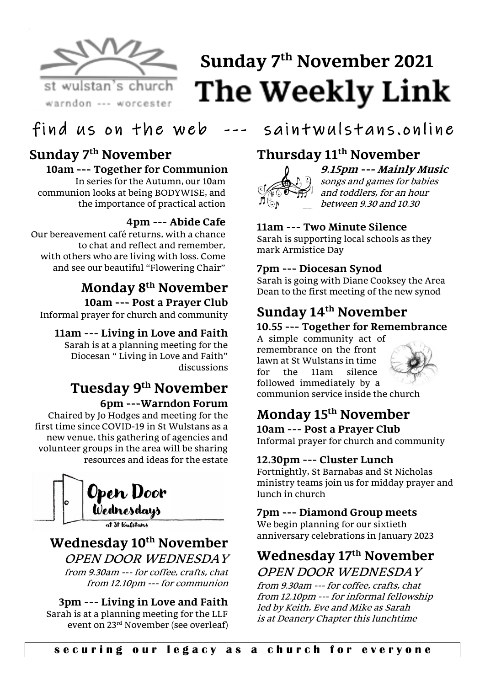

# **Sunday 7 th November 2021The Weekly Link**

# find us on the web  $---$  saintwulstans, online

#### **Sunday 7 th November 10am --- Together for Communion**

In series for the Autumn, our 10am communion looks at being BODYWISE, and the importance of practical action

#### **4pm --- Abide Cafe**

Our bereavement café returns, with a chance to chat and reflect and remember, with others who are living with loss. Come and see our beautiful "Flowering Chair"

# **Monday 8th November**

**10am --- Post a Prayer Club** Informal prayer for church and community

#### **11am --- Living in Love and Faith**

Sarah is at a planning meeting for the Diocesan " Living in Love and Faith" discussions

# **Tuesday 9th November 6pm ---Warndon Forum**

Chaired by Jo Hodges and meeting for the first time since COVID-19 in St Wulstans as a new venue, this gathering of agencies and volunteer groups in the area will be sharing resources and ideas for the estate



# **Wednesday 10 th November**

OPEN DOOR WEDNESDAY from 9.30am --- for coffee, crafts, chat from 12.10pm --- for communion

#### **3pm --- Living in Love and Faith** Sarah is at a planning meeting for the LLF event on 23rd November (see overleaf)

# **Thursday 11th November**



#### **9.15pm --- Mainly Music** songs and games for babies and toddlers, for an hour between 9.30 and 10.30

# **11am --- Two Minute Silence**

Sarah is supporting local schools as they mark Armistice Day

#### **7pm --- Diocesan Synod**

Sarah is going with Diane Cooksey the Area Dean to the first meeting of the new synod

# **Sunday 14th November**

#### **10.55 --- Together for Remembrance**

A simple community act of remembrance on the front lawn at St Wulstans in time for the 11am silence followed immediately by a communion service inside the church



# **Monday 15th November**

**10am --- Post a Prayer Club** Informal prayer for church and community

#### **12.30pm --- Cluster Lunch**

Fortnightly, St Barnabas and St Nicholas ministry teams join us for midday prayer and lunch in church

#### **7pm --- Diamond Group meets**

We begin planning for our sixtieth anniversary celebrations in January 2023

# **Wednesday 17th November** OPEN DOOR WEDNESDAY

from 9.30am --- for coffee, crafts, chat from 12.10pm --- for informal fellowship led by Keith, Eve and Mike as Sarah is at Deanery Chapter this lunchtime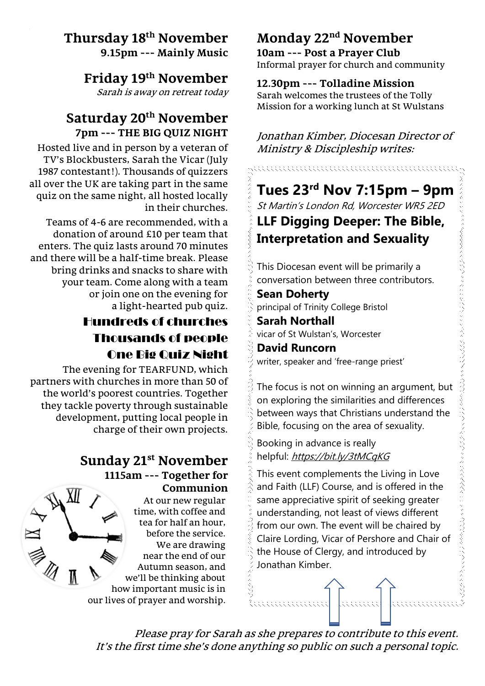### **Thursday 18th November 9.15pm --- Mainly Music**

**Friday 19th November**

Sarah is away on retreat today

# **Saturday 20th November 7pm --- THE BIG QUIZ NIGHT**

Hosted live and in person by a veteran of TV's Blockbusters, Sarah the Vicar (July 1987 contestant!). Thousands of quizzers all over the UK are taking part in the same quiz on the same night, all hosted locally in their churches.

Teams of 4-6 are recommended, with a donation of around £10 per team that enters. The quiz lasts around 70 minutes and there will be a half-time break. Please bring drinks and snacks to share with your team. Come along with a team or join one on the evening for a light-hearted pub quiz.

# Hundreds of churches Thousands of people One Big Quiz Night

The evening for TEARFUND, which partners with churches in more than 50 of the world's poorest countries. Together they tackle poverty through sustainable development, putting local people in charge of their own projects.

## **Sunday 21st November 1115am --- Together for**

**Communion** At our new regular time, with coffee and tea for half an hour, before the service. We are drawing near the end of our Autumn season, and we'll be thinking about how important music is in our lives of prayer and worship.

# **Monday 22nd November**

**10am --- Post a Prayer Club** Informal prayer for church and community

### **12.30pm --- Tolladine Mission**

Sarah welcomes the trustees of the Tolly Mission for a working lunch at St Wulstans

Jonathan Kimber, Diocesan Director of Ministry & Discipleship writes:

# **Tues 23rd Nov 7:15pm – 9pm**  St Martin's London Rd, Worcester WR5 2ED

**LLF Digging Deeper: The Bible, Interpretation and Sexuality**

This Diocesan event will be primarily a conversation between three contributors.

**Sean Doherty** principal of Trinity College Bristol

**Sarah Northall** vicar of St Wulstan's, Worcester

**David Runcorn**

writer, speaker and 'free-range priest'

The focus is not on winning an argument, but on exploring the similarities and differences between ways that Christians understand the Bible, focusing on the area of sexuality.

Booking in advance is really helpful: <https://bit.ly/3tMCqKG>

This event complements the Living in Love and Faith (LLF) Course, and is offered in the same appreciative spirit of seeking greater understanding, not least of views different from our own. The event will be chaired by Claire Lording, Vicar of Pershore and Chair of the House of Clergy, and introduced by Jonathan Kimber.

It's the first time she's done anything so public on such a personal topic. Please pray for Sarah as she prepares to contribute to this event.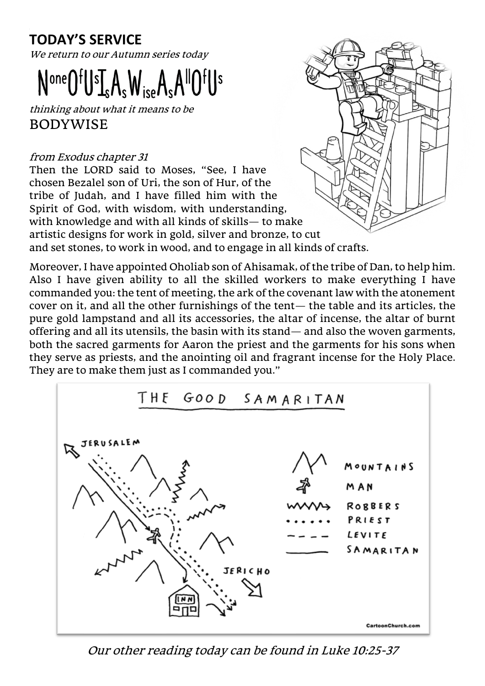# **TODAY'S SERVICE**

We return to our Autumn series today

# $\mathsf{N}^{\text{one}}\mathsf{O}^{\text{f}}\mathsf{U}^{\text{s}}\mathsf{I}_{\text{s}}\mathsf{A}_{\text{s}}\mathsf{W}_{\text{ise}}\mathsf{A}_{\text{s}}$

thinking about what it means to be BODYWISE

#### from Exodus chapter 31

Then the LORD said to Moses, "See, I have chosen Bezalel son of Uri, the son of Hur, of the tribe of Judah, and I have filled him with the Spirit of God, with wisdom, with understanding, with knowledge and with all kinds of skills— to make artistic designs for work in gold, silver and bronze, to cut and set stones, to work in wood, and to engage in all kinds of crafts.

Moreover, I have appointed Oholiab son of Ahisamak, of the tribe of Dan, to help him. Also I have given ability to all the skilled workers to make everything I have commanded you: the tent of meeting, the ark of the covenant law with the atonement cover on it, and all the other furnishings of the tent— the table and its articles, the pure gold lampstand and all its accessories, the altar of incense, the altar of burnt offering and all its utensils, the basin with its stand— and also the woven garments, both the sacred garments for Aaron the priest and the garments for his sons when they serve as priests, and the anointing oil and fragrant incense for the Holy Place. They are to make them just as I commanded you."



Our other reading today can be found in Luke 10:25-37